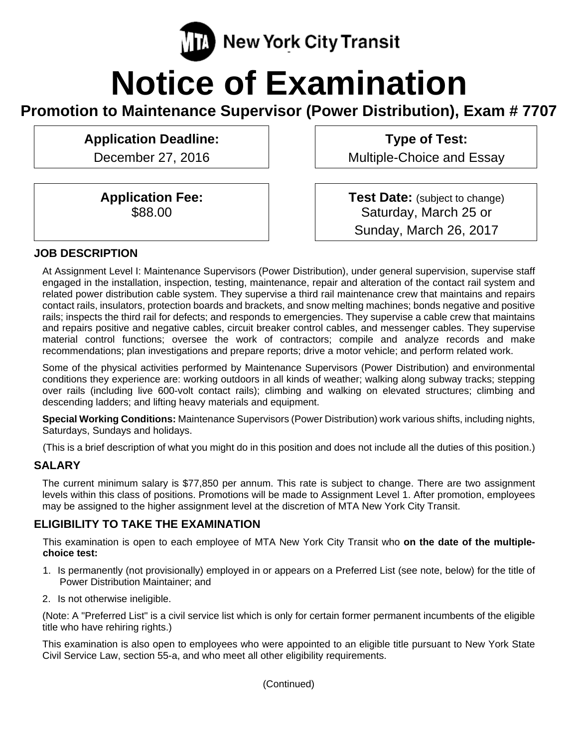

# **Notice of Examination**

**Promotion to Maintenance Supervisor (Power Distribution), Exam # 7707** 

**Application Deadline:**  December 27, 2016

> **Application Fee:**  \$88.00

**Type of Test:**  Multiple-Choice and Essay

**Test Date:** (subject to change) Saturday, March 25 or Sunday, March 26, 2017

# **JOB DESCRIPTION**

At Assignment Level I: Maintenance Supervisors (Power Distribution), under general supervision, supervise staff engaged in the installation, inspection, testing, maintenance, repair and alteration of the contact rail system and related power distribution cable system. They supervise a third rail maintenance crew that maintains and repairs contact rails, insulators, protection boards and brackets, and snow melting machines; bonds negative and positive rails; inspects the third rail for defects; and responds to emergencies. They supervise a cable crew that maintains and repairs positive and negative cables, circuit breaker control cables, and messenger cables. They supervise material control functions; oversee the work of contractors; compile and analyze records and make recommendations; plan investigations and prepare reports; drive a motor vehicle; and perform related work.

Some of the physical activities performed by Maintenance Supervisors (Power Distribution) and environmental conditions they experience are: working outdoors in all kinds of weather; walking along subway tracks; stepping over rails (including live 600-volt contact rails); climbing and walking on elevated structures; climbing and descending ladders; and lifting heavy materials and equipment.

**Special Working Conditions:** Maintenance Supervisors (Power Distribution) work various shifts, including nights, Saturdays, Sundays and holidays.

(This is a brief description of what you might do in this position and does not include all the duties of this position.)

#### **SALARY**

The current minimum salary is \$77,850 per annum. This rate is subject to change. There are two assignment levels within this class of positions. Promotions will be made to Assignment Level 1. After promotion, employees may be assigned to the higher assignment level at the discretion of MTA New York City Transit.

# **ELIGIBILITY TO TAKE THE EXAMINATION**

This examination is open to each employee of MTA New York City Transit who **on the date of the multiplechoice test:** 

- 1. Is permanently (not provisionally) employed in or appears on a Preferred List (see note, below) for the title of Power Distribution Maintainer; and
- 2. Is not otherwise ineligible.

(Note: A "Preferred List" is a civil service list which is only for certain former permanent incumbents of the eligible title who have rehiring rights.)

This examination is also open to employees who were appointed to an eligible title pursuant to New York State Civil Service Law, section 55-a, and who meet all other eligibility requirements.

(Continued)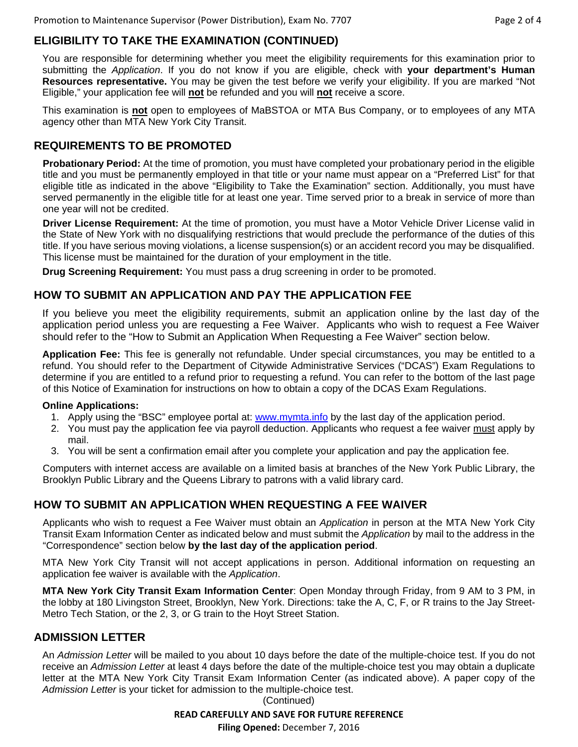# **ELIGIBILITY TO TAKE THE EXAMINATION (CONTINUED)**

You are responsible for determining whether you meet the eligibility requirements for this examination prior to submitting the *Application*. If you do not know if you are eligible, check with **your department's Human Resources representative.** You may be given the test before we verify your eligibility. If you are marked "Not Eligible," your application fee will **not** be refunded and you will **not** receive a score.

This examination is **not** open to employees of MaBSTOA or MTA Bus Company, or to employees of any MTA agency other than MTA New York City Transit.

#### **REQUIREMENTS TO BE PROMOTED**

**Probationary Period:** At the time of promotion, you must have completed your probationary period in the eligible title and you must be permanently employed in that title or your name must appear on a "Preferred List" for that eligible title as indicated in the above "Eligibility to Take the Examination" section. Additionally, you must have served permanently in the eligible title for at least one year. Time served prior to a break in service of more than one year will not be credited.

**Driver License Requirement:** At the time of promotion, you must have a Motor Vehicle Driver License valid in the State of New York with no disqualifying restrictions that would preclude the performance of the duties of this title. If you have serious moving violations, a license suspension(s) or an accident record you may be disqualified. This license must be maintained for the duration of your employment in the title.

**Drug Screening Requirement:** You must pass a drug screening in order to be promoted.

#### **HOW TO SUBMIT AN APPLICATION AND PAY THE APPLICATION FEE**

If you believe you meet the eligibility requirements, submit an application online by the last day of the application period unless you are requesting a Fee Waiver. Applicants who wish to request a Fee Waiver should refer to the "How to Submit an Application When Requesting a Fee Waiver" section below.

**Application Fee:** This fee is generally not refundable. Under special circumstances, you may be entitled to a refund. You should refer to the Department of Citywide Administrative Services ("DCAS") Exam Regulations to determine if you are entitled to a refund prior to requesting a refund. You can refer to the bottom of the last page of this Notice of Examination for instructions on how to obtain a copy of the DCAS Exam Regulations.

#### **Online Applications:**

- 1. Apply using the "BSC" employee portal at: www.mymta.info by the last day of the application period.
- 2. You must pay the application fee via payroll deduction. Applicants who request a fee waiver must apply by mail.
- 3. You will be sent a confirmation email after you complete your application and pay the application fee.

Computers with internet access are available on a limited basis at branches of the New York Public Library, the Brooklyn Public Library and the Queens Library to patrons with a valid library card.

### **HOW TO SUBMIT AN APPLICATION WHEN REQUESTING A FEE WAIVER**

Applicants who wish to request a Fee Waiver must obtain an *Application* in person at the MTA New York City Transit Exam Information Center as indicated below and must submit the *Application* by mail to the address in the "Correspondence" section below **by the last day of the application period**.

MTA New York City Transit will not accept applications in person. Additional information on requesting an application fee waiver is available with the *Application*.

**MTA New York City Transit Exam Information Center**: Open Monday through Friday, from 9 AM to 3 PM, in the lobby at 180 Livingston Street, Brooklyn, New York. Directions: take the A, C, F, or R trains to the Jay Street-Metro Tech Station, or the 2, 3, or G train to the Hoyt Street Station.

### **ADMISSION LETTER**

An *Admission Letter* will be mailed to you about 10 days before the date of the multiple-choice test. If you do not receive an *Admission Letter* at least 4 days before the date of the multiple-choice test you may obtain a duplicate letter at the MTA New York City Transit Exam Information Center (as indicated above). A paper copy of the *Admission Letter* is your ticket for admission to the multiple-choice test.

> **READ CAREFULLY AND SAVE FOR FUTURE REFERENCE Filing Opened:** December 7, 2016 (Continued)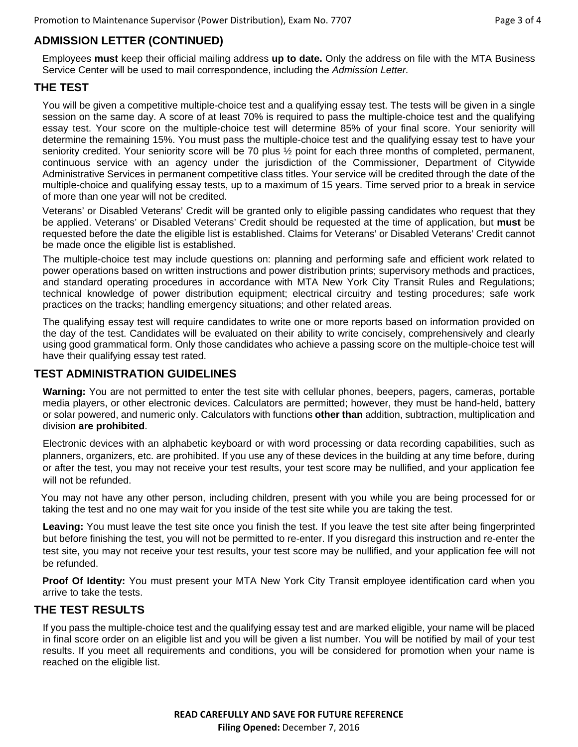# **ADMISSION LETTER (CONTINUED)**

Employees **must** keep their official mailing address **up to date.** Only the address on file with the MTA Business Service Center will be used to mail correspondence, including the *Admission Letter.*

#### **THE TEST**

You will be given a competitive multiple-choice test and a qualifying essay test. The tests will be given in a single session on the same day. A score of at least 70% is required to pass the multiple-choice test and the qualifying essay test. Your score on the multiple-choice test will determine 85% of your final score. Your seniority will determine the remaining 15%. You must pass the multiple-choice test and the qualifying essay test to have your seniority credited. Your seniority score will be 70 plus  $\frac{1}{2}$  point for each three months of completed, permanent, continuous service with an agency under the jurisdiction of the Commissioner, Department of Citywide Administrative Services in permanent competitive class titles. Your service will be credited through the date of the multiple-choice and qualifying essay tests, up to a maximum of 15 years. Time served prior to a break in service of more than one year will not be credited.

Veterans' or Disabled Veterans' Credit will be granted only to eligible passing candidates who request that they be applied. Veterans' or Disabled Veterans' Credit should be requested at the time of application, but **must** be requested before the date the eligible list is established. Claims for Veterans' or Disabled Veterans' Credit cannot be made once the eligible list is established.

The multiple-choice test may include questions on: planning and performing safe and efficient work related to power operations based on written instructions and power distribution prints; supervisory methods and practices, and standard operating procedures in accordance with MTA New York City Transit Rules and Regulations; technical knowledge of power distribution equipment; electrical circuitry and testing procedures; safe work practices on the tracks; handling emergency situations; and other related areas.

The qualifying essay test will require candidates to write one or more reports based on information provided on the day of the test. Candidates will be evaluated on their ability to write concisely, comprehensively and clearly using good grammatical form. Only those candidates who achieve a passing score on the multiple-choice test will have their qualifying essay test rated.

#### **TEST ADMINISTRATION GUIDELINES**

**Warning:** You are not permitted to enter the test site with cellular phones, beepers, pagers, cameras, portable media players, or other electronic devices. Calculators are permitted; however, they must be hand-held, battery or solar powered, and numeric only. Calculators with functions **other than** addition, subtraction, multiplication and division **are prohibited**.

Electronic devices with an alphabetic keyboard or with word processing or data recording capabilities, such as planners, organizers, etc. are prohibited. If you use any of these devices in the building at any time before, during or after the test, you may not receive your test results, your test score may be nullified, and your application fee will not be refunded.

 You may not have any other person, including children, present with you while you are being processed for or taking the test and no one may wait for you inside of the test site while you are taking the test.

**Leaving:** You must leave the test site once you finish the test. If you leave the test site after being fingerprinted but before finishing the test, you will not be permitted to re-enter. If you disregard this instruction and re-enter the test site, you may not receive your test results, your test score may be nullified, and your application fee will not be refunded.

**Proof Of Identity:** You must present your MTA New York City Transit employee identification card when you arrive to take the tests.

#### **THE TEST RESULTS**

If you pass the multiple-choice test and the qualifying essay test and are marked eligible, your name will be placed in final score order on an eligible list and you will be given a list number. You will be notified by mail of your test results. If you meet all requirements and conditions, you will be considered for promotion when your name is reached on the eligible list.